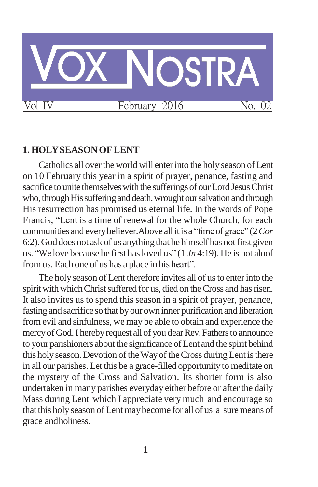

### **1. HOLYSEASONOFLENT**

Catholics all over the world will enter into the holy season of Lent on 10 February this year in a spirit of prayer, penance, fasting and sacrifice to unite themselves with the sufferings of our Lord Jesus Christ who, through His suffering and death, wrought our salvation and through His resurrection has promised us eternal life. In the words of Pope Francis, "Lent is a time of renewal for the whole Church, for each communities and everybeliever.Above allitis a "timeof grace" (2*Cor*  6:2). God does not ask of us anything that he himself has not first given us. "We love because he first has loved us" (1 *Jn* 4:19). He is not aloof fromus.Each one of us has a place in his heart".

The holy season of Lent therefore invites all of us to enter into the spirit with which Christ suffered for us, died on the Cross and has risen. It also invites us to spend this season in a spirit of prayer, penance, fasting and sacrifice so that by our own inner purification and liberation from evil and sinfulness, we may be able to obtain and experience the mercy of God. I hereby request all of you dear Rev. Fathers to announce to your parishioners about the significance of Lent and the spirit behind this holy season. Devotion of the Way of the Cross during Lent is there in all our parishes. Let this be a grace-filled opportunity to meditate on the mystery of the Cross and Salvation. Its shorter form is also undertaken in many parishes everyday either before or after the daily Mass during Lent which I appreciate very much and encourage so that this holyseason of Lentmaybecome for all of us a suremeans of grace andholiness.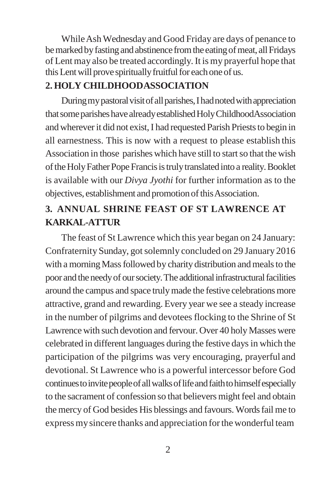While Ash Wednesday and Good Friday are days of penance to be marked by fasting and abstinence from the eating of meat, all Fridays of Lent may also be treated accordingly.It is my prayerful hope that this Lent will prove spiritually fruitful for each one of us.

# **2. HOLY CHILDHOODASSOCIATION**

During my pastoral visit of all parishes, I had noted with appreciation that some parishes have already established Holy ChildhoodAssociation and wherever it did not exist, I had requested Parish Priests to begin in all earnestness. This is now with a request to please establish this Association in those parishes which have still to start so that the wish of the Holy Father Pope Francis is truly translated into a reality. Booklet is available with our *Divya Jyothi* for further information as to the objectives, establishment and promotionofthisAssociation.

# **3. ANNUAL SHRINE FEAST OF ST LAWRENCE AT KARKAL-ATTUR**

The feast of St Lawrence which this year began on 24 January: Confraternity Sunday, gotsolemnly concluded on 29 January 2016 with a morning Mass followed by charity distribution and meals to the poor and the needy of our society. The additional infrastructural facilities around the campus and space truly made the festive celebrations more attractive, grand and rewarding. Every year we see a steady increase in the number of pilgrims and devotees flocking to the Shrine of St Lawrence with such devotion and fervour. Over 40 holy Masses were celebrated in different languages during the festive days in which the participation of the pilgrims was very encouraging, prayerful and devotional. St Lawrence who is a powerful intercessor before God continues to invite people of all walks of life and faith to himself especially to the sacrament of confession so that believers might feel and obtain the mercy of God besides His blessings and favours. Words fail me to express my sincere thanks and appreciation for the wonderful team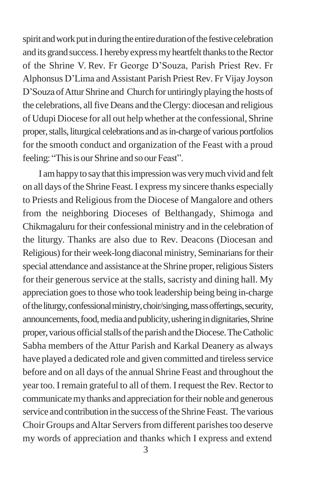spirit and work put in during the entire duration of the festive celebration and its grand success. I hereby express my heartfelt thanks to the Rector of the Shrine V. Rev. Fr George D'Souza, Parish Priest Rev. Fr Alphonsus D'Lima and Assistant Parish Priest Rev. Fr Vijay Joyson D'Souza of Attur Shrine and Church for untiringly playing the hosts of the celebrations, allfive Deans and theClergy: diocesan and religious of Udupi Diocese for all out help whether at the confessional, Shrine proper, stalls, liturgical celebrations and as in-charge of various portfolios for the smooth conduct and organization of the Feast with a proud feeling: "This is our Shrine and so our Feast".

I am happy to say that this impression was very much vivid and felt on all days of the Shrine Feast. I express my sincere thanks especially to Priests and Religious from the Diocese of Mangalore and others from the neighboring Dioceses of Belthangady, Shimoga and Chikmagaluru for their confessional ministry and in the celebration of the liturgy. Thanks are also due to Rev. Deacons (Diocesan and Religious) for their week-long diaconal ministry, Seminarians for their special attendance and assistance at the Shrine proper, religious Sisters for their generous service at the stalls, sacristy and dining hall. My appreciation goesto those who took leadership being being in-charge of the liturgy, confessional ministry, choir/singing, mass offertings, security, announcements, food, media and publicity, ushering in dignitaries, Shrine proper, various official stalls of the parish and the Diocese. The Catholic Sabha members of the Attur Parish and Karkal Deanery as always have played a dedicated role and given committed and tireless service before and on all days of the annual Shrine Feast and throughout the year too. I remain grateful to all of them. I request the Rev. Rector to communicate my thanks and appreciation for their noble and generous service and contribution in the success of the Shrine Feast. The various Choir Groups and Altar Servers from different parishes too deserve my words of appreciation and thanks which I express and extend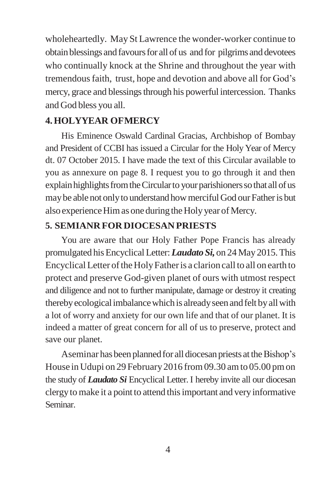wholeheartedly. May St Lawrence the wonder-worker continue to obtainblessings and favoursfor all of us and for pilgrims and devotees who continually knock at the Shrine and throughout the year with tremendousfaith, trust, hope and devotion and above all for God's mercy, grace and blessings through his powerful intercession. Thanks and God bless you all.

### **4.HOLYYEAR OFMERCY**

His Eminence Oswald Cardinal Gracias, Archbishop of Bombay and President of CCBI has issued a Circular for the Holy Year of Mercy dt. 07 October 2015. I have made the text of this Circular available to you as annexure on page 8. I request you to go through it and then explain highlights from the Circular to your parishioners so that all of us may be able not only to understand how merciful God our Father is but also experience Him as one during the Holy year of Mercy.

### **5. SEMIANR FORDIOCESAN PRIESTS**

You are aware that our Holy Father Pope Francis has already promulgated hisEncyclicalLetter:*Laudato Si,* on 24 May 2015.This Encyclical Letter oftheHolyFatheris a clarion call to all on earth to protect and preserve God-given planet of ours with utmost respect and diligence and not to further manipulate, damage or destroy it creating thereby ecological imbalance which is already seen and felt by all with a lot of worry and anxiety for our own life and that of our planet. It is indeed a matter of great concern for all of us to preserve, protect and save our planet.

Aseminar has been planned for all diocesan priests at the Bishop's House in Udupi on 29 February 2016 from 09.30 am to 05.00 pm on the study of *Laudato Si* Encyclical Letter. I hereby invite all our diocesan clergyto make it a point to attend thisimportant and very informative Seminar.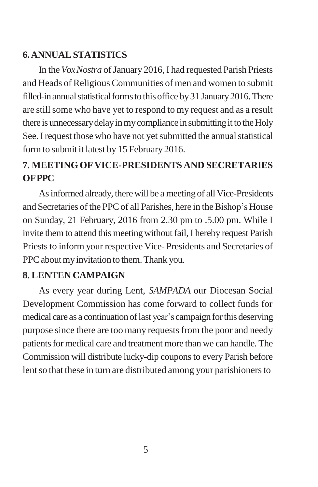## **6.ANNUALSTATISTICS**

In the *Vox Nostra* of January 2016, I had requested Parish Priests and Heads of Religious Communities of men and women to submit filled-in annual statistical forms to this office by 31 January 2016. There are stillsome who have yet to respond to my request and as a result there is unnecessary delay in my compliance in submitting it to the Holy See. I request those who have not yet submitted the annual statistical formto submit it latest by 15 February 2016.

# **7. MEETING OFVICE-PRESIDENTS AND SECRETARIES OFPPC**

As informed already, there will be a meeting of all Vice-Presidents and Secretaries of the PPC of all Parishes, here in the Bishop's House on Sunday, 21 February, 2016 from 2.30 pm to .5.00 pm. While I invite them to attend this meeting without fail, I hereby request Parish Priests to inform your respective Vice-Presidents and Secretaries of PPC about my invitation to them. Thank you.

### **8. LENTEN CAMPAIGN**

As every year during Lent, *SAMPADA* our Diocesan Social Development Commission has come forward to collect funds for medical care as a continuation of last year's campaign for this deserving purpose since there are too many requests from the poor and needy patients for medical care and treatment more than we can handle. The Commission will distribute lucky-dip coupons to every Parish before lent so that these in turn are distributed among your parishioners to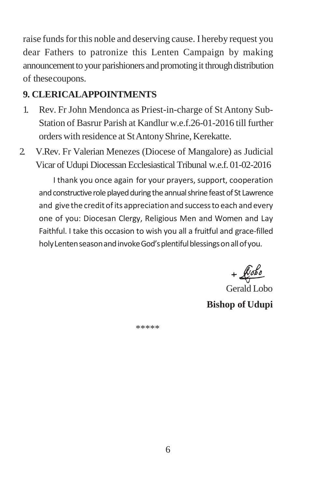raise funds for this noble and deserving cause. I hereby request you dear Fathers to patronize this Lenten Campaign by making announcement to your parishioners and promoting it through distribution of thesecoupons.

## **9. CLERICALAPPOINTMENTS**

- 1. Rev. Fr John Mendonca as Priest-in-charge of St Antony Sub-Station of Basrur Parish at Kandlur w.e.f.26-01-2016 till further orders with residence at StAntonyShrine, Kerekatte.
- 2. V.Rev. Fr Valerian Menezes (Diocese of Mangalore) as Judicial Vicar of Udupi Diocessan Ecclesiastical Tribunal w.e.f. 01-02-2016

 I thank you once again for your prayers, support, cooperation and constructive role played during the annual shrine feast of St Lawrence and give the credit of its appreciation and success to each and every one of you: Diocesan Clergy, Religious Men and Women and Lay Faithful. I take this occasion to wish you all a fruitful and grace-filled holy Lenten season and invoke God's plentiful blessings on all of you.

 $+$  $k$ obo

Gerald Lobo **Bishop of Udupi**

\*\*\*\*\*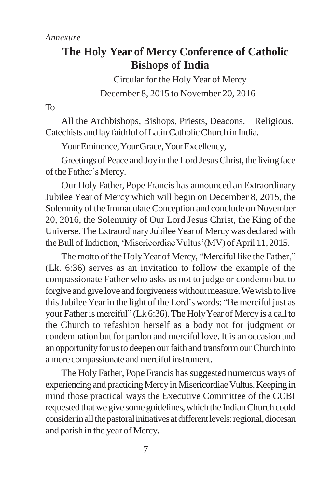# **The Holy Year of Mercy Conference of Catholic Bishops of India**

Circular for the Holy Year of Mercy December 8, 2015 to November 20, 2016

To

All the Archbishops, Bishops, Priests, Deacons, Religious, Catechists and layfaithfulofLatinCatholicChurch in India.

Your Eminence, Your Grace, Your Excellency,

Greetings of Peace and Joy in the Lord Jesus Christ, the living face of the Father's Mercy.

Our Holy Father, Pope Francis has announced an Extraordinary Jubilee Year of Mercy which will begin on December 8, 2015, the Solemnity of the Immaculate Conception and conclude on November 20, 2016, the Solemnity of Our Lord Jesus Christ, the King of the Universe.The Extraordinary JubileeYear of Mercywas declared with the Bull of Indiction, 'Misericordiae Vultus'(MV) of April 11, 2015.

The motto of the Holy Year of Mercy, "Merciful like the Father," (Lk. 6:36) serves as an invitation to follow the example of the compassionate Father who asks us not to judge or condemn but to forgive and give love and forgiveness without measure. We wish to live this Jubilee Year in the light of the Lord's words: "Be merciful just as your Father is merciful" (Lk 6:36). The Holy Year of Mercy is a call to the Church to refashion herself as a body not for judgment or condemnation but for pardon and merciful love. It is an occasion and an opportunity for us to deepen our faith and transform our Church into a more compassionate and merciful instrument.

The Holy Father, Pope Francis has suggested numerous ways of experiencing and practicing Mercy in Misericordiae Vultus. Keeping in mind those practical ways the Executive Committee of the CCBI requested that we give some guidelines, which the Indian Church could consider in all the pastoral initiatives at different levels: regional, diocesan and parish in the year of Mercy.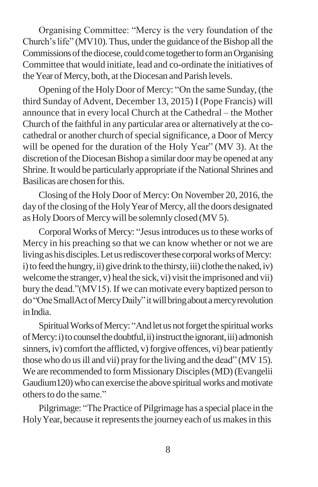Organising Committee: "Mercy is the very foundation of the Church's life" ( $MV10$ ). Thus, under the guidance of the Bishop all the Commissions of the diocese, could come together to form an Organising Committee that would initiate, lead and co-ordinate the initiatives of the Year of Mercy, both, at the Diocesan and Parish levels.

Opening of the HolyDoor of Mercy: "On the same Sunday,(the third Sunday of Advent, December 13, 2015) I (Pope Francis) will announce that in every local Church at the Cathedral – the Mother Church of the faithful in any particular area or alternatively at the cocathedral or another church of special significance, a Door of Mercy will be opened for the duration of the Holy Year" (MV 3). At the discretion of the Diocesan Bishop a similar door may be opened at any Shrine. It would be particularly appropriate if the National Shrines and Basilicas are chosen forthis.

Closing of the Holy Door of Mercy: On November 20, 2016, the day of the closing of the Holy Year of Mercy, all the doors designated as HolyDoors of Mercywill be solemnly closed (MV5).

Corporal Works of Mercy: "Jesus introduces us to these works of Mercy in his preaching so that we can know whether or not we are living as his disciples. Let us rediscover these corporal works of Mercy: i) to feed the hungry, ii) give drink to the thirsty, iii) clothe the naked, iv) welcome the stranger, v) heal the sick, vi) visit the imprisoned and vii) bury the dead."(MV15). If we can motivate every baptized person to do"OneSmallActofMercyDaily"itwillbringaboutamercyrevolution in India.

Spiritual Works of Mercy: "And let us not forget the spiritual works of Mercy: i) to counsel the doubtful, ii) instruct the ignorant, iii) admonish sinners, iv) comfort the afflicted, v) for give offences, vi) bear patiently those who do usill and vii) pray forthe living and the dead" (MV 15). We are recommended to form Missionary Disciples(MD) (Evangelii Gaudium120) who can exercise the above spiritual works and motivate others to do the same."

Pilgrimage: "The Practice of Pilgrimage has a special place in the Holy Year, because it represents the journey each of us makes in this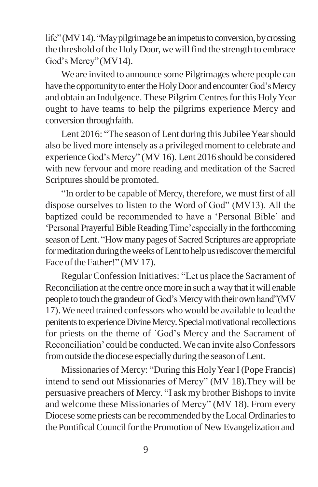life" (MV 14). "May pilgrimage be an impetus to conversion, by crossing the threshold of the Holy Door, we will find the strength to embrace God's Mercy"(MV14).

We are invited to announce some Pilgrimages where people can have the opportunity to enter the Holy Door and encounter God's Mercy and obtain an Indulgence. These Pilgrim Centres for this Holy Year ought to have teams to help the pilgrims experience Mercy and conversion throughfaith.

Lent 2016: "The season of Lent during this Jubilee Year should also be lived more intensely as a privileged moment to celebrate and experience God's Mercy" (MV 16). Lent 2016 should be considered with new fervour and more reading and meditation of the Sacred Scriptures should be promoted.

"In order to be capable of Mercy, therefore, we must first of all dispose ourselves to listen to the Word of God" (MV13). All the baptized could be recommended to have a 'Personal Bible' and 'Personal Prayerful Bible Reading Time'especially in the forthcoming season of Lent. "Howmany pages of Sacred Scriptures are appropriate for meditation during the weeks of Lent to help us rediscover the merciful Face of the Father!" (MV17).

Regular Confession Initiatives: "Let us place the Sacrament of Reconciliation at the centre oncemore in such a way that it will enable people to touch the grandeur of God's Mercy with their own hand"(MV 17).Weneed trained confessors who would be available to lead the penitents to experience Divine Mercy. Special motivational recollections for priests on the theme of `God's Mercy and the Sacrament of Reconciliation' could be conducted. We can invite also Confessors fromoutside the diocese especiallyduring the season of Lent.

Missionaries of Mercy: "During this HolyYearI (Pope Francis) intend to send out Missionaries of Mercy" (MV 18).They will be persuasive preachers of Mercy. "I ask my brother Bishops to invite and welcome these Missionaries of Mercy" (MV 18). From every Diocese some priests can be recommended by the Local Ordinariesto the Pontifical Council for the Promotion of New Evangelization and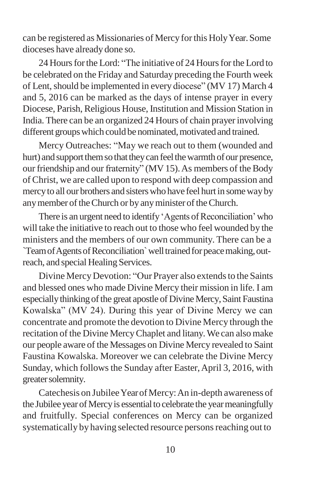can be registered as Missionaries of Mercy forthis HolyYear.Some dioceses have already done so.

24 Hours for the Lord: "The initiative of 24 Hours for the Lord to be celebrated on the Friday and Saturday preceding the Fourth week of Lent, should be implemented in every diocese" (MV 17) March 4 and 5, 2016 can be marked as the days of intense prayer in every Diocese, Parish, Religious House, Institution and Mission Station in India. There can be an organized 24 Hours of chain prayerinvolving different groups which could be nominated, motivated and trained.

Mercy Outreaches: "May we reach out to them (wounded and hurt) and support them so that they can feel the warmth of our presence, our friendship and our fraternity" (MV 15). As members of the Body of Christ, we are called upon to respond with deep compassion and mercyto all our brothers and sisterswho have feel hurt in somewayby any member of the Church or by any minister of the Church.

There is an urgent need to identify 'Agents of Reconciliation' who will take the initiative to reach out to those who feel wounded by the ministers and the members of our own community. There can be a `TeamofAgentsofReconciliation`welltrainedforpeacemaking,outreach, and special Healing Services.

Divine Mercy Devotion: "Our Prayer also extends to the Saints and blessed ones who made Divine Mercy their mission in life. I am especially thinking of the great apostle of Divine Mercy, Saint Faustina Kowalska" (MV 24). During this year of Divine Mercy we can concentrate and promote the devotion to Divine Mercy through the recitation of the Divine MercyChaplet and litany.We can also make our people aware of the Messages on Divine Mercy revealed to Saint Faustina Kowalska. Moreover we can celebrate the Divine Mercy Sunday, which follows the Sunday after Easter, April 3, 2016, with greater solemnity.

Catechesis on JubileeYearofMercy:An in-depth awareness of the Jubilee year of Mercy is essential to celebrate the year meaningfully and fruitfully. Special conferences on Mercy can be organized systematically by having selected resource persons reaching out to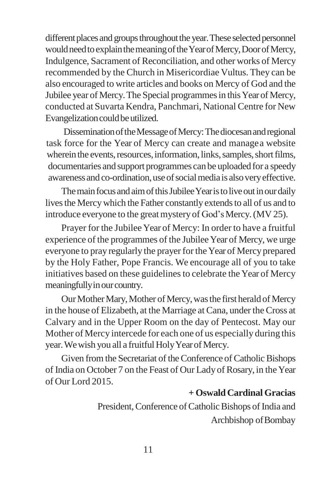different places and groups throughout the year. These selected personnel would need to explain the meaning of the Year of Mercy, Door of Mercy, Indulgence, Sacrament of Reconciliation, and other works of Mercy recommended by the Church in Misericordiae Vultus. They can be also encouraged to write articles and books on Mercy of God and the Jubilee year of Mercy. The Special programmes in this Year of Mercy, conducted at Suvarta Kendra, Panchmari, National Centre for New Evangelization could be utilized.

DisseminationoftheMessageofMercy:Thediocesanandregional task force for the Year of Mercy can create and managea website wherein the events, resources, information, links, samples, short films, documentaries and support programmes can be uploaded for a speedy awareness and co-ordination, use of social media is also very effective.

The main focus and aim of this Jubilee Year is to live out in our daily lives the Mercy which the Father constantly extends to all of us and to introduce everyone to the great mystery of God's Mercy. (MV 25).

Prayer for the Jubilee Year of Mercy: In order to have a fruitful experience of the programmes of the Jubilee Year of Mercy, we urge everyone to pray regularly the prayer for the Year of Mercy prepared by the Holy Father, Pope Francis. We encourage all of you to take initiatives based on these guidelines to celebrate the Year of Mercy meaningfully in our country.

Our Mother Mary, Mother of Mercy, was the first herald of Mercy in the house of Elizabeth, at the Marriage at Cana, under the Cross at Calvary and in the Upper Room on the day of Pentecost. May our Mother of Mercy intercede for each one of us especially during this year. We wish you all a fruitful Holy Year of Mercy.

Given from the Secretariat of the Conference of Catholic Bishops of India on October 7 on the Feast of Our Lady of Rosary, in the Year of Our Lord 2015.

### **+ OswaldCardinal Gracias**

President, Conference of Catholic Bishops of India and Archbishop of Bombay